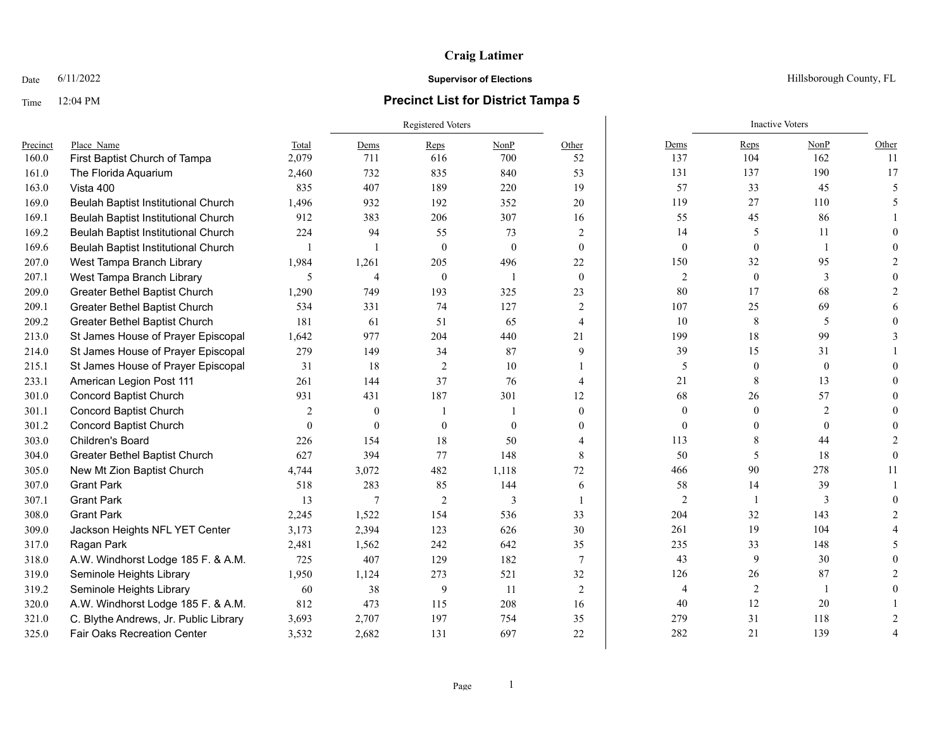## **Craig Latimer**

## Time 12:04 PM **Precinct List for District Tampa 5**

Registered Voters **Inactive Voters** Inactive Voters **Inactive Voters** Precinct Place\_Name Total Dems Reps NonP Other Dems Reps NonP Other 160.0 First Baptist Church of Tampa 2,079 711 616 700 52 137 104 162 11 161.0 The Florida Aquarium 2,460 732 835 840 53 131 137 190 17 163.0 Vista 400 835 407 189 220 19 57 33 45 5 169.0 Beulah Baptist Institutional Church 1,496 932 192 352 20 119 27 110 5 169.1 Beulah Baptist Institutional Church 912 383 206 307 16 55 45 86 1 169.2 Beulah Baptist Institutional Church 224 94 55 73 2 14 5 11 0 169.6 Beulah Baptist Institutional Church 1 1 1 0 0 0 0 0 0 0 0 0 1 0 0 207.0 West Tampa Branch Library 1,984 1,261 205 496 22 150 32 95 2 207.1 West Tampa Branch Library 5 5 4 0 1 0 2 0 3 0 209.0 Greater Bethel Baptist Church 1,290 749 193 325 23 80 17 68 2 209.1 Greater Bethel Baptist Church 534 331 74 127 2 107 25 69 6 209.2 Greater Bethel Baptist Church 181 61 51 65 4 10 8 5 0 213.0 St James House of Prayer Episcopal 1,642 977 204 440 21 99 18 99 3 214.0 St James House of Prayer Episcopal 279 149 34 87 9 39 15 31 1 215.1 St James House of Prayer Episcopal 31 18 2 10 1 5 0 0 0 233.1 American Legion Post 111 261 144 37 76 4 21 8 13 0 301.0 Concord Baptist Church 931 431 187 301 12 68 26 57 0 301.1 Concord Baptist Church 2 0 1 1 0 0 0 2 0 301.2 Concord Baptist Church 0 0 0 0 0 0 0 0 0 303.0 Children's Board 226 154 18 50 4 113 8 44 2 304.0 Greater Bethel Baptist Church 627 394 77 148 8 50 5 18 0 305.0 New Mt Zion Baptist Church 4,744 3,072 482 1,118 72 466 90 278 11 307.0 Grant Park 518 283 85 144 6 58 14 39 1 307.1 Grant Park 13 7 2 3 1 2 1 3 0 308.0 Grant Park 2,245 1,522 154 536 33 204 32 143 2 309.0 Jackson Heights NFL YET Center 3,173 2,394 123 626 30 261 19 104 4 317.0 Ragan Park 2,481 1,562 242 642 35 235 33 148 5 318.0 A.W. Windhorst Lodge 185 F. & A.M. 725 407 129 182 7 43 9 30 0 319.0 Seminole Heights Library 1,950 1,124 273 521 32 126 26 87 2 319.2 Seminole Heights Library 60 38 9 11 2 4 2 1 0 320.0 A.W. Windhorst Lodge 185 F. & A.M. 812 473 115 208 16 40 12 20 1 321.0 C. Blythe Andrews, Jr. Public Library 3,693 2,707 197 754 35 279 31 118 2 325.0 Fair Oaks Recreation Center  $3.532$   $2.682$  131 697 22 282 21 139 4